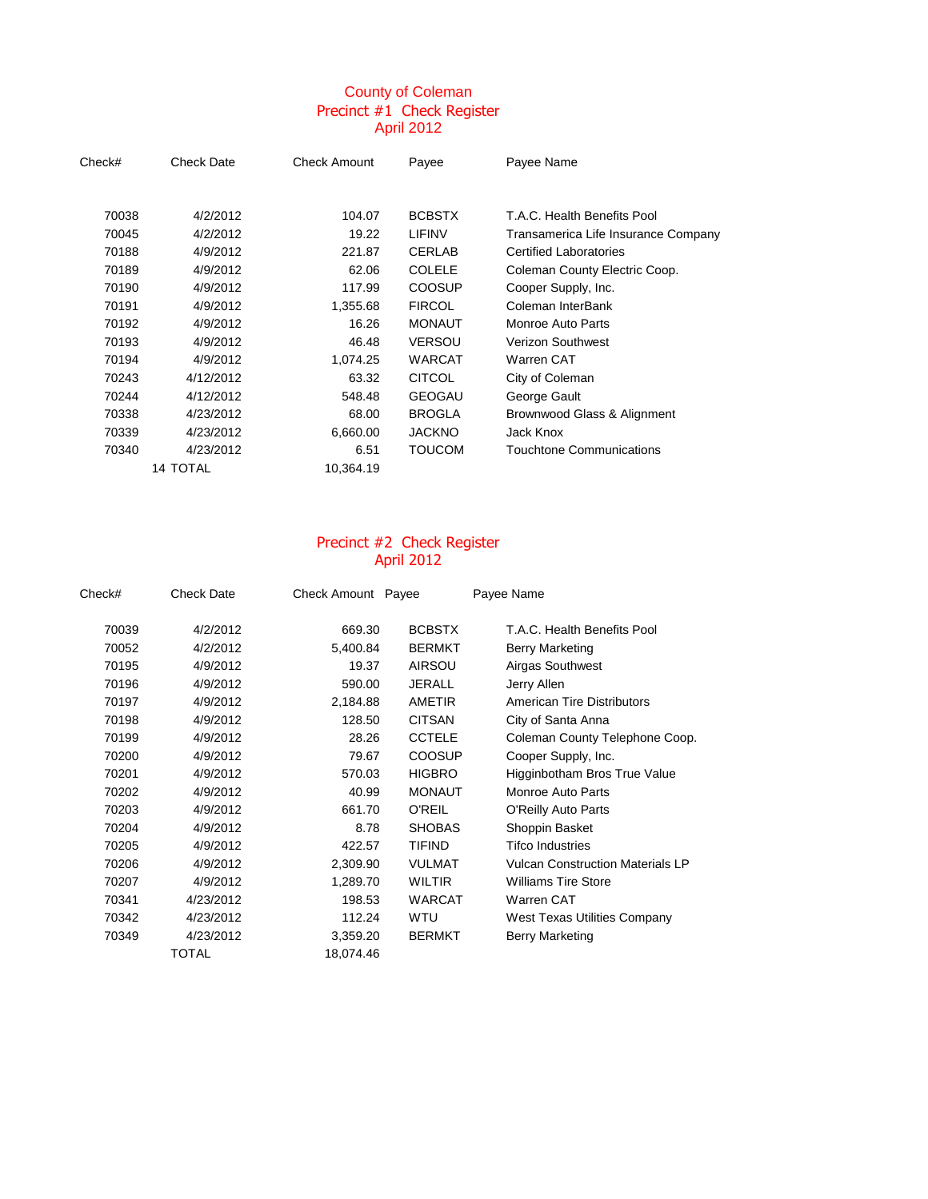## County of Coleman Precinct #1 Check Register April 2012

| Check# | <b>Check Date</b> | <b>Check Amount</b> | Payee         | Payee Name                          |
|--------|-------------------|---------------------|---------------|-------------------------------------|
|        |                   |                     |               |                                     |
| 70038  | 4/2/2012          | 104.07              | <b>BCBSTX</b> | T.A.C. Health Benefits Pool         |
| 70045  | 4/2/2012          | 19.22               | LIFINV        | Transamerica Life Insurance Company |
| 70188  | 4/9/2012          | 221.87              | <b>CERLAB</b> | <b>Certified Laboratories</b>       |
| 70189  | 4/9/2012          | 62.06               | <b>COLELE</b> | Coleman County Electric Coop.       |
| 70190  | 4/9/2012          | 117.99              | <b>COOSUP</b> | Cooper Supply, Inc.                 |
| 70191  | 4/9/2012          | 1,355.68            | <b>FIRCOL</b> | Coleman InterBank                   |
| 70192  | 4/9/2012          | 16.26               | <b>MONAUT</b> | Monroe Auto Parts                   |
| 70193  | 4/9/2012          | 46.48               | <b>VERSOU</b> | <b>Verizon Southwest</b>            |
| 70194  | 4/9/2012          | 1,074.25            | WARCAT        | Warren CAT                          |
| 70243  | 4/12/2012         | 63.32               | <b>CITCOL</b> | City of Coleman                     |
| 70244  | 4/12/2012         | 548.48              | <b>GEOGAU</b> | George Gault                        |
| 70338  | 4/23/2012         | 68.00               | <b>BROGLA</b> | Brownwood Glass & Alignment         |
| 70339  | 4/23/2012         | 6,660.00            | <b>JACKNO</b> | Jack Knox                           |
| 70340  | 4/23/2012         | 6.51                | <b>TOUCOM</b> | Touchtone Communications            |
|        | 14 TOTAL          | 10,364.19           |               |                                     |

### Precinct #2 Check Register April 2012

| Check# | <b>Check Date</b> | Check Amount Payee |               | Payee Name                              |
|--------|-------------------|--------------------|---------------|-----------------------------------------|
| 70039  | 4/2/2012          | 669.30             | <b>BCBSTX</b> | T.A.C. Health Benefits Pool             |
| 70052  | 4/2/2012          | 5,400.84           | <b>BERMKT</b> | Berry Marketing                         |
| 70195  | 4/9/2012          | 19.37              | <b>AIRSOU</b> | Airgas Southwest                        |
| 70196  | 4/9/2012          | 590.00             | <b>JERALL</b> | Jerry Allen                             |
| 70197  | 4/9/2012          | 2,184.88           | AMETIR        | <b>American Tire Distributors</b>       |
| 70198  | 4/9/2012          | 128.50             | <b>CITSAN</b> | City of Santa Anna                      |
| 70199  | 4/9/2012          | 28.26              | <b>CCTELE</b> | Coleman County Telephone Coop.          |
| 70200  | 4/9/2012          | 79.67              | <b>COOSUP</b> | Cooper Supply, Inc.                     |
| 70201  | 4/9/2012          | 570.03             | <b>HIGBRO</b> | Higginbotham Bros True Value            |
| 70202  | 4/9/2012          | 40.99              | <b>MONAUT</b> | Monroe Auto Parts                       |
| 70203  | 4/9/2012          | 661.70             | <b>O'REIL</b> | O'Reilly Auto Parts                     |
| 70204  | 4/9/2012          | 8.78               | <b>SHOBAS</b> | Shoppin Basket                          |
| 70205  | 4/9/2012          | 422.57             | <b>TIFIND</b> | <b>Tifco Industries</b>                 |
| 70206  | 4/9/2012          | 2,309.90           | <b>VULMAT</b> | <b>Vulcan Construction Materials LP</b> |
| 70207  | 4/9/2012          | 1,289.70           | <b>WILTIR</b> | <b>Williams Tire Store</b>              |
| 70341  | 4/23/2012         | 198.53             | <b>WARCAT</b> | Warren CAT                              |
| 70342  | 4/23/2012         | 112.24             | WTU           | <b>West Texas Utilities Company</b>     |
| 70349  | 4/23/2012         | 3,359.20           | <b>BERMKT</b> | Berry Marketing                         |
|        | TOTAL             | 18,074.46          |               |                                         |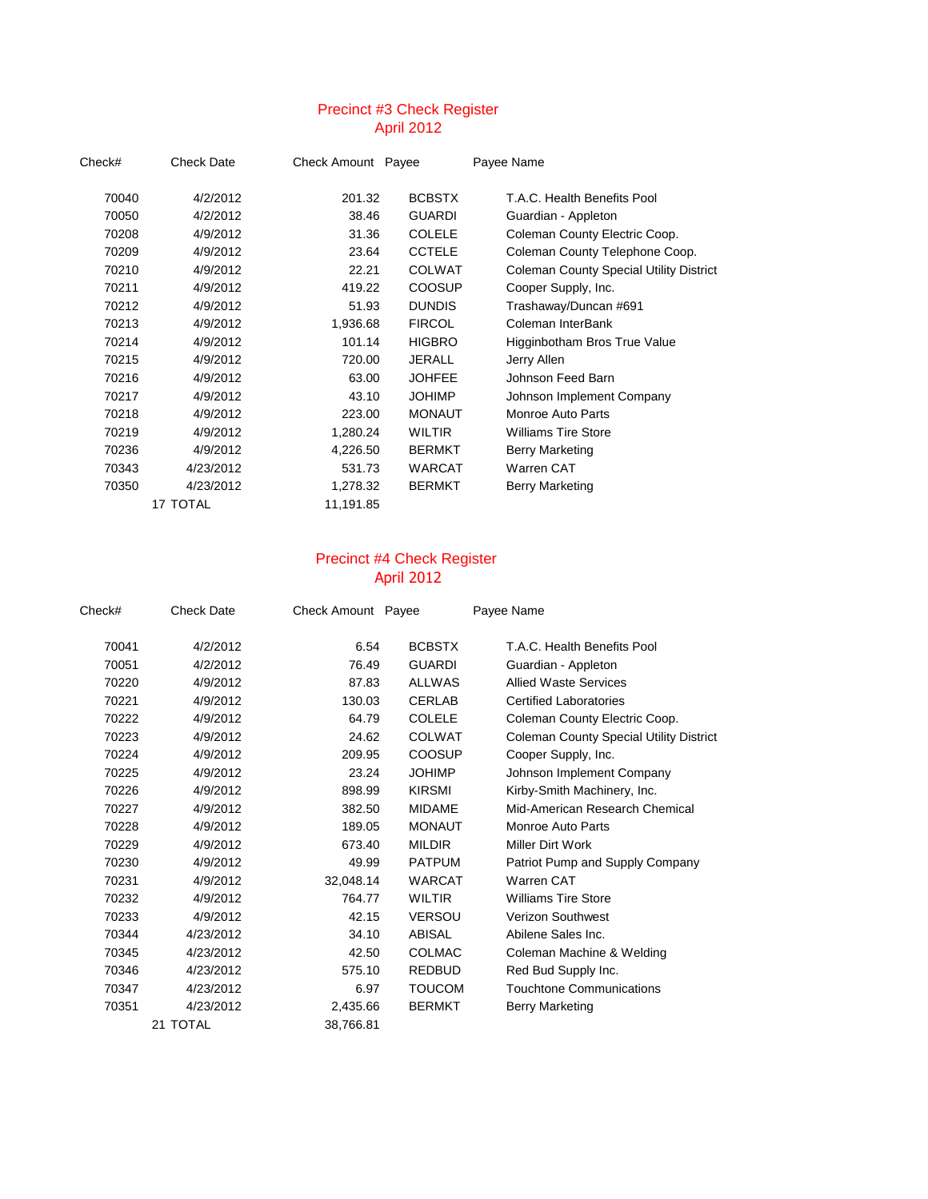#### Precinct #3 Check Register April 2012

| Check# | Check Date | Check Amount Payee |               | Payee Name                                     |
|--------|------------|--------------------|---------------|------------------------------------------------|
| 70040  | 4/2/2012   | 201.32             | <b>BCBSTX</b> | T.A.C. Health Benefits Pool                    |
| 70050  | 4/2/2012   | 38.46              | <b>GUARDI</b> | Guardian - Appleton                            |
| 70208  | 4/9/2012   | 31.36              | <b>COLELE</b> | Coleman County Electric Coop.                  |
| 70209  | 4/9/2012   | 23.64              | <b>CCTELE</b> | Coleman County Telephone Coop.                 |
| 70210  | 4/9/2012   | 22.21              | <b>COLWAT</b> | <b>Coleman County Special Utility District</b> |
| 70211  | 4/9/2012   | 419.22             | <b>COOSUP</b> | Cooper Supply, Inc.                            |
| 70212  | 4/9/2012   | 51.93              | <b>DUNDIS</b> | Trashaway/Duncan #691                          |
| 70213  | 4/9/2012   | 1,936.68           | <b>FIRCOL</b> | Coleman InterBank                              |
| 70214  | 4/9/2012   | 101.14             | <b>HIGBRO</b> | Higginbotham Bros True Value                   |
| 70215  | 4/9/2012   | 720.00             | JERALL        | Jerry Allen                                    |
| 70216  | 4/9/2012   | 63.00              | <b>JOHFEE</b> | Johnson Feed Barn                              |
| 70217  | 4/9/2012   | 43.10              | <b>JOHIMP</b> | Johnson Implement Company                      |
| 70218  | 4/9/2012   | 223.00             | <b>MONAUT</b> | Monroe Auto Parts                              |
| 70219  | 4/9/2012   | 1,280.24           | WILTIR        | <b>Williams Tire Store</b>                     |
| 70236  | 4/9/2012   | 4,226.50           | <b>BERMKT</b> | Berry Marketing                                |
| 70343  | 4/23/2012  | 531.73             | WARCAT        | Warren CAT                                     |
| 70350  | 4/23/2012  | 1,278.32           | <b>BERMKT</b> | Berry Marketing                                |
|        | 17 TOTAL   | 11,191.85          |               |                                                |

#### Precinct #4 Check Register April 2012

| Check# | <b>Check Date</b> | Check Amount Payee |               | Payee Name                                     |
|--------|-------------------|--------------------|---------------|------------------------------------------------|
| 70041  | 4/2/2012          | 6.54               | <b>BCBSTX</b> | T.A.C. Health Benefits Pool                    |
| 70051  | 4/2/2012          | 76.49              | <b>GUARDI</b> | Guardian - Appleton                            |
| 70220  | 4/9/2012          | 87.83              | <b>ALLWAS</b> | <b>Allied Waste Services</b>                   |
| 70221  | 4/9/2012          | 130.03             | <b>CERLAB</b> | <b>Certified Laboratories</b>                  |
| 70222  | 4/9/2012          | 64.79              | <b>COLELE</b> | Coleman County Electric Coop.                  |
| 70223  | 4/9/2012          | 24.62              | <b>COLWAT</b> | <b>Coleman County Special Utility District</b> |
| 70224  | 4/9/2012          | 209.95             | <b>COOSUP</b> | Cooper Supply, Inc.                            |
| 70225  | 4/9/2012          | 23.24              | <b>JOHIMP</b> | Johnson Implement Company                      |
| 70226  | 4/9/2012          | 898.99             | <b>KIRSMI</b> | Kirby-Smith Machinery, Inc.                    |
| 70227  | 4/9/2012          | 382.50             | <b>MIDAME</b> | Mid-American Research Chemical                 |
| 70228  | 4/9/2012          | 189.05             | <b>MONAUT</b> | Monroe Auto Parts                              |
| 70229  | 4/9/2012          | 673.40             | <b>MILDIR</b> | Miller Dirt Work                               |
| 70230  | 4/9/2012          | 49.99              | <b>PATPUM</b> | Patriot Pump and Supply Company                |
| 70231  | 4/9/2012          | 32,048.14          | <b>WARCAT</b> | Warren CAT                                     |
| 70232  | 4/9/2012          | 764.77             | <b>WILTIR</b> | <b>Williams Tire Store</b>                     |
| 70233  | 4/9/2012          | 42.15              | <b>VERSOU</b> | Verizon Southwest                              |
| 70344  | 4/23/2012         | 34.10              | <b>ABISAL</b> | Abilene Sales Inc.                             |
| 70345  | 4/23/2012         | 42.50              | <b>COLMAC</b> | Coleman Machine & Welding                      |
| 70346  | 4/23/2012         | 575.10             | <b>REDBUD</b> | Red Bud Supply Inc.                            |
| 70347  | 4/23/2012         | 6.97               | <b>TOUCOM</b> | <b>Touchtone Communications</b>                |
| 70351  | 4/23/2012         | 2,435.66           | <b>BERMKT</b> | Berry Marketing                                |
|        | 21 TOTAL          | 38.766.81          |               |                                                |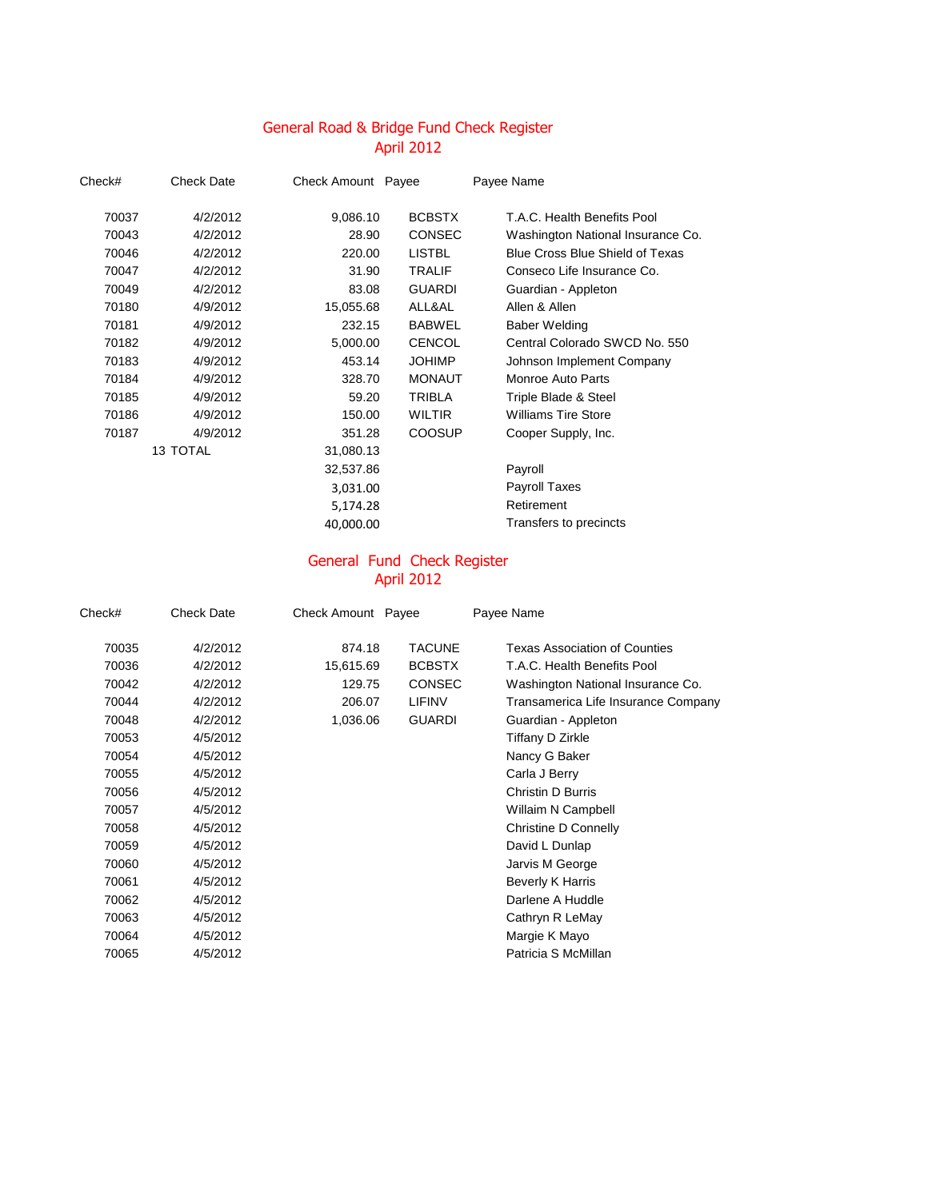# April 2012 General Road & Bridge Fund Check Register

| Check# | <b>Check Date</b> | Check Amount Payee |               | Payee Name                             |
|--------|-------------------|--------------------|---------------|----------------------------------------|
| 70037  | 4/2/2012          | 9,086.10           | <b>BCBSTX</b> | T.A.C. Health Benefits Pool            |
| 70043  | 4/2/2012          | 28.90              | <b>CONSEC</b> | Washington National Insurance Co.      |
| 70046  | 4/2/2012          | 220.00             | <b>LISTBL</b> | <b>Blue Cross Blue Shield of Texas</b> |
| 70047  | 4/2/2012          | 31.90              | <b>TRALIF</b> | Conseco Life Insurance Co.             |
| 70049  | 4/2/2012          | 83.08              | <b>GUARDI</b> | Guardian - Appleton                    |
| 70180  | 4/9/2012          | 15,055.68          | ALL&AL        | Allen & Allen                          |
| 70181  | 4/9/2012          | 232.15             | <b>BABWEL</b> | Baber Welding                          |
| 70182  | 4/9/2012          | 5,000.00           | <b>CENCOL</b> | Central Colorado SWCD No. 550          |
| 70183  | 4/9/2012          | 453.14             | <b>JOHIMP</b> | Johnson Implement Company              |
| 70184  | 4/9/2012          | 328.70             | <b>MONAUT</b> | <b>Monroe Auto Parts</b>               |
| 70185  | 4/9/2012          | 59.20              | <b>TRIBLA</b> | Triple Blade & Steel                   |
| 70186  | 4/9/2012          | 150.00             | <b>WILTIR</b> | <b>Williams Tire Store</b>             |
| 70187  | 4/9/2012          | 351.28             | <b>COOSUP</b> | Cooper Supply, Inc.                    |
|        | 13 TOTAL          | 31,080.13          |               |                                        |
|        |                   | 32,537.86          |               | Payroll                                |
|        |                   | 3,031.00           |               | <b>Payroll Taxes</b>                   |
|        |                   | 5,174.28           |               | Retirement                             |
|        |                   | 40,000.00          |               | Transfers to precincts                 |

#### General Fund Check Register April 2012

| Check# | <b>Check Date</b> | Check Amount Payee |               | Payee Name                          |
|--------|-------------------|--------------------|---------------|-------------------------------------|
| 70035  | 4/2/2012          | 874.18             | <b>TACUNE</b> | Texas Association of Counties       |
| 70036  | 4/2/2012          | 15,615.69          | <b>BCBSTX</b> | T.A.C. Health Benefits Pool         |
| 70042  | 4/2/2012          | 129.75             | <b>CONSEC</b> | Washington National Insurance Co.   |
| 70044  | 4/2/2012          | 206.07             | <b>LIFINV</b> | Transamerica Life Insurance Company |
| 70048  | 4/2/2012          | 1,036.06           | <b>GUARDI</b> | Guardian - Appleton                 |
| 70053  | 4/5/2012          |                    |               | Tiffany D Zirkle                    |
| 70054  | 4/5/2012          |                    |               | Nancy G Baker                       |
| 70055  | 4/5/2012          |                    |               | Carla J Berry                       |
| 70056  | 4/5/2012          |                    |               | Christin D Burris                   |
| 70057  | 4/5/2012          |                    |               | Willaim N Campbell                  |
| 70058  | 4/5/2012          |                    |               | Christine D Connelly                |
| 70059  | 4/5/2012          |                    |               | David L Dunlap                      |
| 70060  | 4/5/2012          |                    |               | Jarvis M George                     |
| 70061  | 4/5/2012          |                    |               | Beverly K Harris                    |
| 70062  | 4/5/2012          |                    |               | Darlene A Huddle                    |
| 70063  | 4/5/2012          |                    |               | Cathryn R LeMay                     |
| 70064  | 4/5/2012          |                    |               | Margie K Mayo                       |
| 70065  | 4/5/2012          |                    |               | Patricia S McMillan                 |
|        |                   |                    |               |                                     |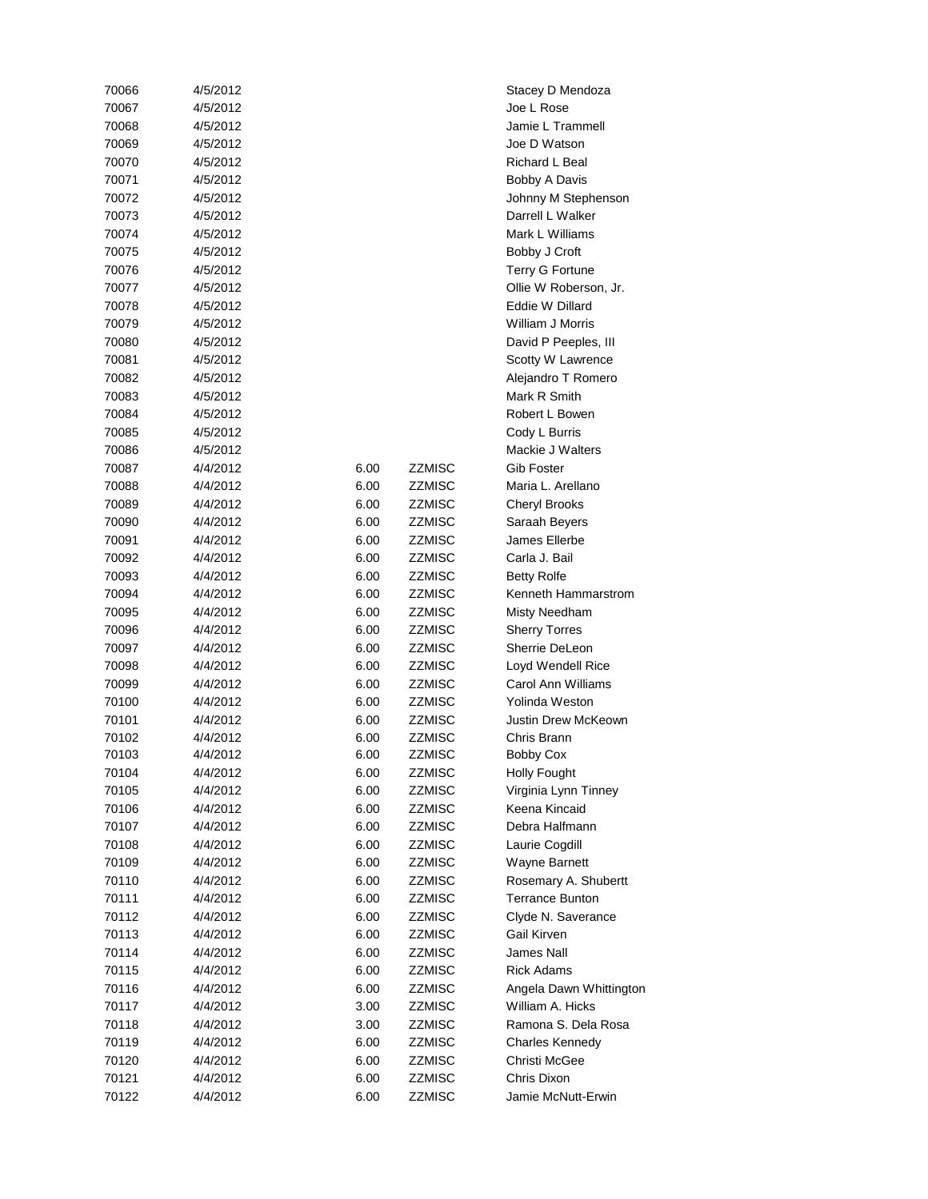| 70066 | 4/5/2012 |      |               | Stacey D Men          |
|-------|----------|------|---------------|-----------------------|
| 70067 | 4/5/2012 |      |               | Joe L Rose            |
| 70068 | 4/5/2012 |      |               | Jamie L Tramı         |
| 70069 | 4/5/2012 |      |               | Joe D Watson          |
| 70070 | 4/5/2012 |      |               | Richard L Bea         |
| 70071 | 4/5/2012 |      |               | <b>Bobby A Davis</b>  |
| 70072 | 4/5/2012 |      |               | Johnny M Step         |
| 70073 | 4/5/2012 |      |               | Darrell L Walk        |
| 70074 | 4/5/2012 |      |               | Mark L Willian        |
| 70075 | 4/5/2012 |      |               | Bobby J Croft         |
| 70076 | 4/5/2012 |      |               | <b>Terry G Fortur</b> |
| 70077 | 4/5/2012 |      |               | Ollie W Rober         |
| 70078 | 4/5/2012 |      |               | Eddie W Dillar        |
| 70079 | 4/5/2012 |      |               | William J Morr        |
| 70080 | 4/5/2012 |      |               | David P Peepl         |
| 70081 | 4/5/2012 |      |               | Scotty W Law          |
| 70082 | 4/5/2012 |      |               | Alejandro T Ro        |
| 70083 | 4/5/2012 |      |               | Mark R Smith          |
| 70084 | 4/5/2012 |      |               | Robert L Bowe         |
| 70085 | 4/5/2012 |      |               | Cody L Burris         |
| 70086 | 4/5/2012 |      |               | Mackie J Walt         |
| 70087 | 4/4/2012 | 6.00 | <b>ZZMISC</b> | Gib Foster            |
| 70088 | 4/4/2012 | 6.00 | ZZMISC        | Maria L. Arella       |
| 70089 | 4/4/2012 | 6.00 | ZZMISC        | <b>Cheryl Brooks</b>  |
| 70090 | 4/4/2012 | 6.00 | ZZMISC        | Saraah Beyers         |
| 70091 | 4/4/2012 | 6.00 | ZZMISC        | James Ellerbe         |
| 70092 | 4/4/2012 | 6.00 | ZZMISC        | Carla J. Bail         |
| 70093 | 4/4/2012 | 6.00 | ZZMISC        | <b>Betty Rolfe</b>    |
| 70094 | 4/4/2012 | 6.00 | ZZMISC        | Kenneth Hamı          |
| 70095 | 4/4/2012 | 6.00 | ZZMISC        | Misty Needhar         |
| 70096 | 4/4/2012 | 6.00 | ZZMISC        | <b>Sherry Torres</b>  |
| 70097 | 4/4/2012 | 6.00 | <b>ZZMISC</b> | Sherrie DeLec         |
| 70098 | 4/4/2012 | 6.00 | <b>ZZMISC</b> | Loyd Wendell          |
| 70099 | 4/4/2012 | 6.00 | ZZMISC        | Carol Ann Will        |
| 70100 | 4/4/2012 | 6.00 | <b>ZZMISC</b> | Yolinda Westo         |
| 70101 | 4/4/2012 | 6.00 | <b>ZZMISC</b> | Justin Drew M         |
| 70102 | 4/4/2012 | 6.00 | <b>ZZMISC</b> | Chris Brann           |
| 70103 | 4/4/2012 | 6.00 | ZZMISC        | <b>Bobby Cox</b>      |
| 70104 | 4/4/2012 | 6.00 | ZZMISC        | Holly Fought          |
| 70105 | 4/4/2012 | 6.00 | <b>ZZMISC</b> | Virginia Lynn 7       |
| 70106 | 4/4/2012 | 6.00 | ZZMISC        | Keena Kincaid         |
| 70107 | 4/4/2012 | 6.00 | <b>ZZMISC</b> | Debra Halfmar         |
| 70108 | 4/4/2012 | 6.00 | <b>ZZMISC</b> | Laurie Cogdill        |
| 70109 | 4/4/2012 | 6.00 | <b>ZZMISC</b> | Wayne Barnet          |
| 70110 | 4/4/2012 | 6.00 | ZZMISC        | Rosemary A. S         |
| 70111 | 4/4/2012 | 6.00 | <b>ZZMISC</b> | <b>Terrance Bunt</b>  |
| 70112 | 4/4/2012 | 6.00 | ZZMISC        | Clyde N. Save         |
| 70113 | 4/4/2012 | 6.00 | <b>ZZMISC</b> | Gail Kirven           |
| 70114 | 4/4/2012 | 6.00 | <b>ZZMISC</b> | James Nall            |
| 70115 | 4/4/2012 | 6.00 | <b>ZZMISC</b> | <b>Rick Adams</b>     |
| 70116 | 4/4/2012 | 6.00 | ZZMISC        | Angela Dawn           |
| 70117 | 4/4/2012 | 3.00 | ZZMISC        | William A. Hic        |
| 70118 | 4/4/2012 | 3.00 | ZZMISC        | Ramona S. De          |
| 70119 | 4/4/2012 | 6.00 | ZZMISC        | <b>Charles Kenne</b>  |
| 70120 | 4/4/2012 | 6.00 | ZZMISC        | Christi McGee         |
| 70121 | 4/4/2012 | 6.00 | ZZMISC        | Chris Dixon           |
| 70122 | 4/4/2012 | 6.00 | <b>ZZMISC</b> | Jamie McNutt-         |

ey D Mendoza ie L Trammell D Watson ard L Beal by A Davis nny M Stephenson rell L Walker k L Williams by J Croft y G Fortune W Roberson, Jr. ie W Dillard am J Morris id P Peeples, III tty W Lawrence andro T Romero ert L Bowen kie J Walters ia L. Arellano ryl Brooks ah Beyers es Ellerbe neth Hammarstrom y Needham rry Torres rrie DeLeon d Wendell Rice I Ann Williams nda Weston in Drew McKeown y Fought inia Lynn Tinney na Kincaid ra Halfmann rie Cogdill me Barnett emary A. Shubertt ance Bunton le N. Saverance ela Dawn Whittington am A. Hicks ona S. Dela Rosa rles Kennedy ie McNutt-Erwin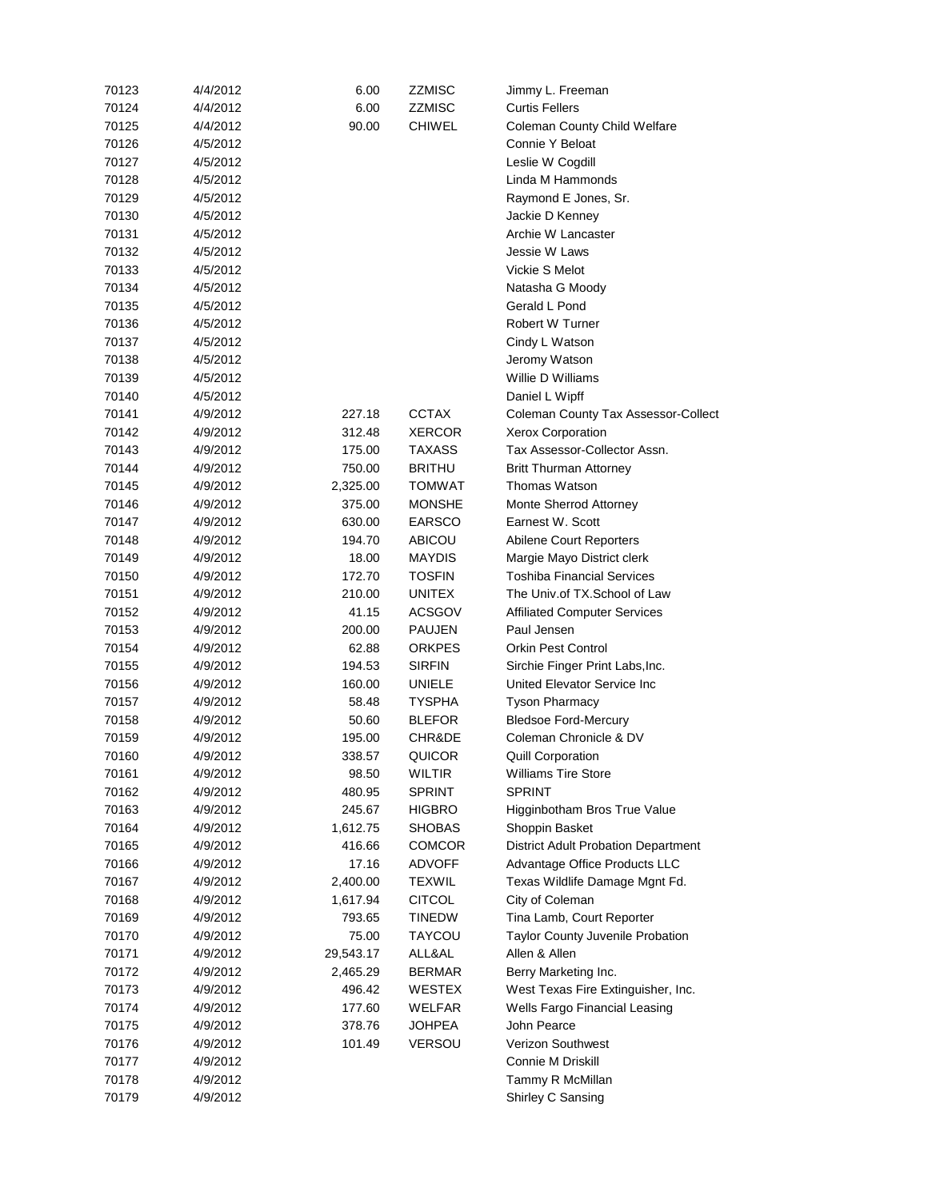| 70123 | 4/4/2012 | 6.00      | ZZMISC        | Jimmy L. Freeman                           |
|-------|----------|-----------|---------------|--------------------------------------------|
| 70124 | 4/4/2012 | 6.00      | ZZMISC        | <b>Curtis Fellers</b>                      |
| 70125 | 4/4/2012 | 90.00     | <b>CHIWEL</b> | Coleman County Child Welfare               |
| 70126 | 4/5/2012 |           |               | Connie Y Beloat                            |
| 70127 | 4/5/2012 |           |               | Leslie W Cogdill                           |
| 70128 | 4/5/2012 |           |               | Linda M Hammonds                           |
| 70129 | 4/5/2012 |           |               | Raymond E Jones, Sr.                       |
| 70130 | 4/5/2012 |           |               | Jackie D Kenney                            |
| 70131 | 4/5/2012 |           |               | Archie W Lancaster                         |
| 70132 | 4/5/2012 |           |               | Jessie W Laws                              |
| 70133 | 4/5/2012 |           |               | Vickie S Melot                             |
| 70134 | 4/5/2012 |           |               | Natasha G Moody                            |
|       |          |           |               |                                            |
| 70135 | 4/5/2012 |           |               | Gerald L Pond                              |
| 70136 | 4/5/2012 |           |               | Robert W Turner                            |
| 70137 | 4/5/2012 |           |               | Cindy L Watson                             |
| 70138 | 4/5/2012 |           |               | Jeromy Watson                              |
| 70139 | 4/5/2012 |           |               | Willie D Williams                          |
| 70140 | 4/5/2012 |           |               | Daniel L Wipff                             |
| 70141 | 4/9/2012 | 227.18    | <b>CCTAX</b>  | Coleman County Tax Assessor-Collect        |
| 70142 | 4/9/2012 | 312.48    | XERCOR        | <b>Xerox Corporation</b>                   |
| 70143 | 4/9/2012 | 175.00    | TAXASS        | Tax Assessor-Collector Assn.               |
| 70144 | 4/9/2012 | 750.00    | <b>BRITHU</b> | <b>Britt Thurman Attorney</b>              |
| 70145 | 4/9/2012 | 2,325.00  | TOMWAT        | <b>Thomas Watson</b>                       |
| 70146 | 4/9/2012 | 375.00    | <b>MONSHE</b> | Monte Sherrod Attorney                     |
| 70147 | 4/9/2012 | 630.00    | EARSCO        | Earnest W. Scott                           |
| 70148 | 4/9/2012 | 194.70    | ABICOU        | Abilene Court Reporters                    |
| 70149 | 4/9/2012 | 18.00     | MAYDIS        | Margie Mayo District clerk                 |
| 70150 | 4/9/2012 | 172.70    | <b>TOSFIN</b> | <b>Toshiba Financial Services</b>          |
| 70151 | 4/9/2012 | 210.00    | UNITEX        | The Univ.of TX.School of Law               |
| 70152 | 4/9/2012 | 41.15     | ACSGOV        | <b>Affiliated Computer Services</b>        |
| 70153 | 4/9/2012 | 200.00    | <b>PAUJEN</b> | Paul Jensen                                |
| 70154 | 4/9/2012 | 62.88     | <b>ORKPES</b> | Orkin Pest Control                         |
| 70155 | 4/9/2012 | 194.53    | <b>SIRFIN</b> | Sirchie Finger Print Labs, Inc.            |
| 70156 | 4/9/2012 | 160.00    | UNIELE        | United Elevator Service Inc                |
| 70157 | 4/9/2012 | 58.48     | TYSPHA        | <b>Tyson Pharmacy</b>                      |
| 70158 | 4/9/2012 | 50.60     | <b>BLEFOR</b> | <b>Bledsoe Ford-Mercury</b>                |
|       |          |           | CHR&DE        | Coleman Chronicle & DV                     |
| 70159 | 4/9/2012 | 195.00    |               |                                            |
| 70160 | 4/9/2012 | 338.57    | QUICOR        | <b>Quill Corporation</b>                   |
| 70161 | 4/9/2012 | 98.50     | WILTIR        | Williams Tire Store                        |
| 70162 | 4/9/2012 | 480.95    | <b>SPRINT</b> | <b>SPRINT</b>                              |
| 70163 | 4/9/2012 | 245.67    | <b>HIGBRO</b> | Higginbotham Bros True Value               |
| 70164 | 4/9/2012 | 1,612.75  | <b>SHOBAS</b> | Shoppin Basket                             |
| 70165 | 4/9/2012 | 416.66    | <b>COMCOR</b> | <b>District Adult Probation Department</b> |
| 70166 | 4/9/2012 | 17.16     | ADVOFF        | Advantage Office Products LLC              |
| 70167 | 4/9/2012 | 2,400.00  | <b>TEXWIL</b> | Texas Wildlife Damage Mgnt Fd.             |
| 70168 | 4/9/2012 | 1,617.94  | <b>CITCOL</b> | City of Coleman                            |
| 70169 | 4/9/2012 | 793.65    | <b>TINEDW</b> | Tina Lamb, Court Reporter                  |
| 70170 | 4/9/2012 | 75.00     | TAYCOU        | Taylor County Juvenile Probation           |
| 70171 | 4/9/2012 | 29,543.17 | ALL&AL        | Allen & Allen                              |
| 70172 | 4/9/2012 | 2,465.29  | BERMAR        | Berry Marketing Inc.                       |
| 70173 | 4/9/2012 | 496.42    | WESTEX        | West Texas Fire Extinguisher, Inc.         |
| 70174 | 4/9/2012 | 177.60    | WELFAR        | Wells Fargo Financial Leasing              |
| 70175 | 4/9/2012 | 378.76    | <b>JOHPEA</b> | John Pearce                                |
| 70176 | 4/9/2012 | 101.49    | <b>VERSOU</b> | Verizon Southwest                          |
| 70177 | 4/9/2012 |           |               | Connie M Driskill                          |
| 70178 | 4/9/2012 |           |               | Tammy R McMillan                           |
| 70179 | 4/9/2012 |           |               | Shirley C Sansing                          |
|       |          |           |               |                                            |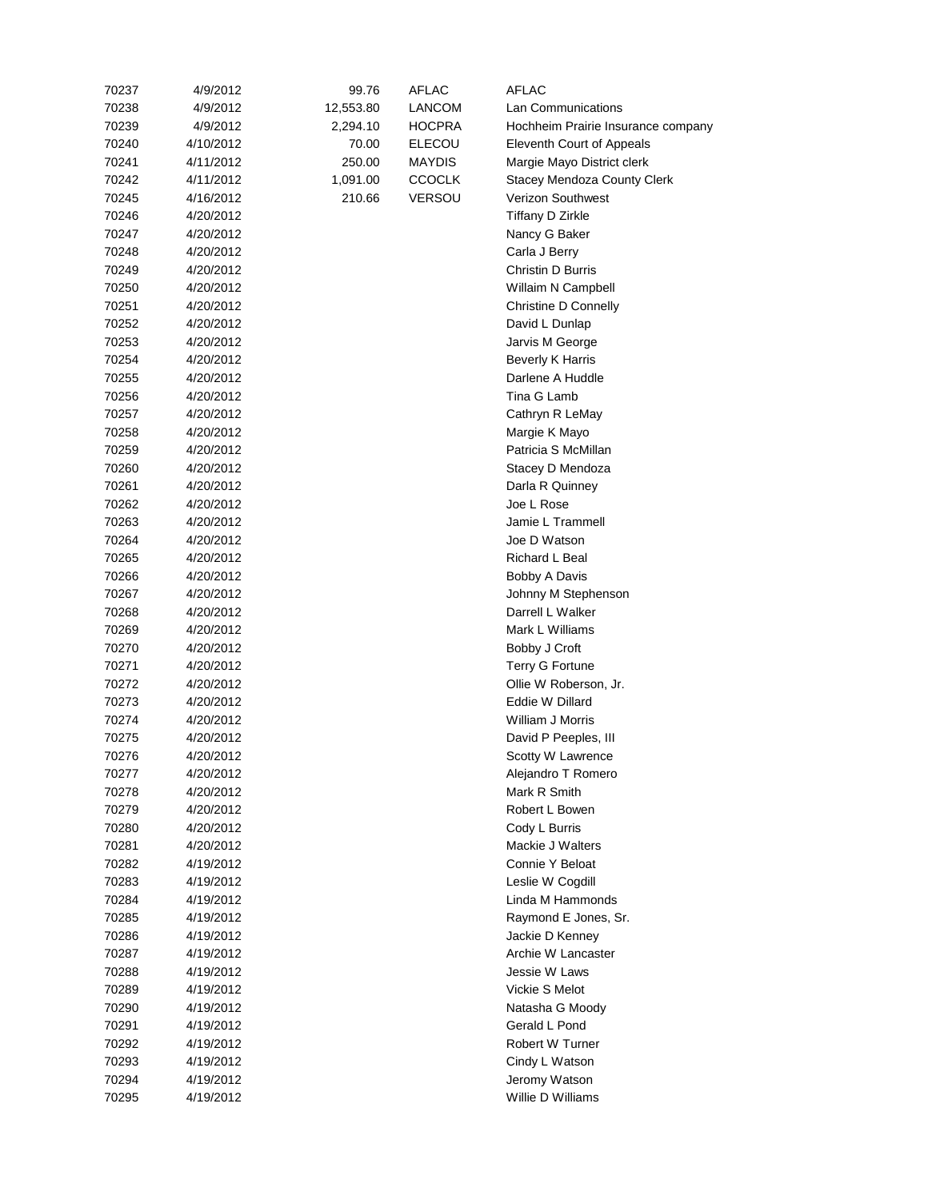| 70237 | 4/9/2012  | 99.76     | <b>AFLAC</b>  | AFLAC                               |
|-------|-----------|-----------|---------------|-------------------------------------|
| 70238 | 4/9/2012  | 12,553.80 | <b>LANCOM</b> | <b>Lan Communications</b>           |
| 70239 | 4/9/2012  | 2,294.10  | <b>HOCPRA</b> | Hochheim Prairie Insurance company  |
| 70240 | 4/10/2012 | 70.00     | <b>ELECOU</b> | Eleventh Court of Appeals           |
| 70241 | 4/11/2012 | 250.00    | MAYDIS        | Margie Mayo District clerk          |
| 70242 | 4/11/2012 | 1,091.00  | <b>CCOCLK</b> | <b>Stacey Mendoza County Clerk</b>  |
| 70245 | 4/16/2012 | 210.66    | <b>VERSOU</b> | <b>Verizon Southwest</b>            |
| 70246 | 4/20/2012 |           |               | Tiffany D Zirkle                    |
| 70247 | 4/20/2012 |           |               | Nancy G Baker                       |
| 70248 | 4/20/2012 |           |               | Carla J Berry                       |
| 70249 | 4/20/2012 |           |               | Christin D Burris                   |
| 70250 | 4/20/2012 |           |               | Willaim N Campbell                  |
| 70251 | 4/20/2012 |           |               | <b>Christine D Connelly</b>         |
| 70252 | 4/20/2012 |           |               | David L Dunlap                      |
| 70253 | 4/20/2012 |           |               | Jarvis M George                     |
|       |           |           |               |                                     |
| 70254 | 4/20/2012 |           |               | <b>Beverly K Harris</b>             |
| 70255 | 4/20/2012 |           |               | Darlene A Huddle                    |
| 70256 | 4/20/2012 |           |               | Tina G Lamb                         |
| 70257 | 4/20/2012 |           |               | Cathryn R LeMay                     |
| 70258 | 4/20/2012 |           |               | Margie K Mayo                       |
| 70259 | 4/20/2012 |           |               | Patricia S McMillan                 |
| 70260 | 4/20/2012 |           |               | Stacey D Mendoza                    |
| 70261 | 4/20/2012 |           |               | Darla R Quinney                     |
| 70262 | 4/20/2012 |           |               | Joe L Rose                          |
| 70263 | 4/20/2012 |           |               | Jamie L Trammell                    |
| 70264 | 4/20/2012 |           |               | Joe D Watson                        |
| 70265 | 4/20/2012 |           |               | Richard L Beal                      |
| 70266 | 4/20/2012 |           |               | Bobby A Davis                       |
| 70267 | 4/20/2012 |           |               | Johnny M Stephenson                 |
| 70268 | 4/20/2012 |           |               | Darrell L Walker                    |
| 70269 | 4/20/2012 |           |               | Mark L Williams                     |
| 70270 | 4/20/2012 |           |               | Bobby J Croft                       |
| 70271 | 4/20/2012 |           |               | Terry G Fortune                     |
| 70272 | 4/20/2012 |           |               | Ollie W Roberson, Jr.               |
| 70273 | 4/20/2012 |           |               | Eddie W Dillard                     |
| 70274 | 4/20/2012 |           |               | William J Morris                    |
| 70275 | 4/20/2012 |           |               | David P Peeples, III                |
| 70276 | 4/20/2012 |           |               | Scotty W Lawrence                   |
| 70277 | 4/20/2012 |           |               | Alejandro T Romero                  |
| 70278 | 4/20/2012 |           |               | Mark R Smith                        |
| 70279 | 4/20/2012 |           |               | Robert L Bowen                      |
| 70280 | 4/20/2012 |           |               | Cody L Burris                       |
| 70281 | 4/20/2012 |           |               | Mackie J Walters                    |
| 70282 | 4/19/2012 |           |               | Connie Y Beloat                     |
| 70283 | 4/19/2012 |           |               | Leslie W Cogdill                    |
| 70284 | 4/19/2012 |           |               | Linda M Hammonds                    |
| 70285 | 4/19/2012 |           |               | Raymond E Jones, Sr.                |
| 70286 | 4/19/2012 |           |               | Jackie D Kenney                     |
|       |           |           |               |                                     |
| 70287 | 4/19/2012 |           |               | Archie W Lancaster<br>Jessie W Laws |
| 70288 | 4/19/2012 |           |               |                                     |
| 70289 | 4/19/2012 |           |               | Vickie S Melot                      |
| 70290 | 4/19/2012 |           |               | Natasha G Moody                     |
| 70291 | 4/19/2012 |           |               | Gerald L Pond                       |
| 70292 | 4/19/2012 |           |               | Robert W Turner                     |
| 70293 | 4/19/2012 |           |               | Cindy L Watson                      |
| 70294 | 4/19/2012 |           |               | Jeromy Watson                       |
| 70295 | 4/19/2012 |           |               | Willie D Williams                   |